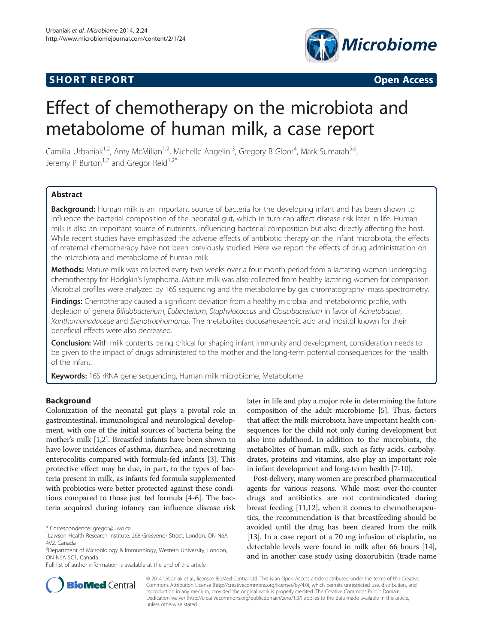## **SHORT REPORT SHORT CONSIDERING THE CONSIDERING OPEN ACCESS**



# Effect of chemotherapy on the microbiota and metabolome of human milk, a case report

Camilla Urbaniak<sup>1,2</sup>, Amy McMillan<sup>1,2</sup>, Michelle Angelini<sup>3</sup>, Gregory B Gloor<sup>4</sup>, Mark Sumarah<sup>5,6</sup>, Jeremy P Burton<sup>1,2</sup> and Gregor Reid<sup>1,2\*</sup>

## **Abstract**

Background: Human milk is an important source of bacteria for the developing infant and has been shown to influence the bacterial composition of the neonatal gut, which in turn can affect disease risk later in life. Human milk is also an important source of nutrients, influencing bacterial composition but also directly affecting the host. While recent studies have emphasized the adverse effects of antibiotic therapy on the infant microbiota, the effects of maternal chemotherapy have not been previously studied. Here we report the effects of drug administration on the microbiota and metabolome of human milk.

**Methods:** Mature milk was collected every two weeks over a four month period from a lactating woman undergoing chemotherapy for Hodgkin's lymphoma. Mature milk was also collected from healthy lactating women for comparison. Microbial profiles were analyzed by 16S sequencing and the metabolome by gas chromatography–mass spectrometry.

Findings: Chemotherapy caused a significant deviation from a healthy microbial and metabolomic profile, with depletion of genera Bifidobacterium, Eubacterium, Staphylococcus and Cloacibacterium in favor of Acinetobacter, Xanthomonadaceae and Stenotrophomonas. The metabolites docosahexaenoic acid and inositol known for their beneficial effects were also decreased.

Conclusion: With milk contents being critical for shaping infant immunity and development, consideration needs to be given to the impact of drugs administered to the mother and the long-term potential consequences for the health of the infant.

Keywords: 16S rRNA gene sequencing, Human milk microbiome, Metabolome

## Background

Colonization of the neonatal gut plays a pivotal role in gastrointestinal, immunological and neurological development, with one of the initial sources of bacteria being the mother's milk [[1](#page-8-0),[2](#page-8-0)]. Breastfed infants have been shown to have lower incidences of asthma, diarrhea, and necrotizing enterocolitis compared with formula-fed infants [\[3\]](#page-9-0). This protective effect may be due, in part, to the types of bacteria present in milk, as infants fed formula supplemented with probiotics were better protected against these conditions compared to those just fed formula [\[4-6](#page-9-0)]. The bacteria acquired during infancy can influence disease risk

Full list of author information is available at the end of the article

later in life and play a major role in determining the future composition of the adult microbiome [[5\]](#page-9-0). Thus, factors that affect the milk microbiota have important health consequences for the child not only during development but also into adulthood. In addition to the microbiota, the metabolites of human milk, such as fatty acids, carbohydrates, proteins and vitamins, also play an important role in infant development and long-term health [[7-10\]](#page-9-0).

Post-delivery, many women are prescribed pharmaceutical agents for various reasons. While most over-the-counter drugs and antibiotics are not contraindicated during breast feeding [\[11,12](#page-9-0)], when it comes to chemotherapeutics, the recommendation is that breastfeeding should be avoided until the drug has been cleared from the milk [[13](#page-9-0)]. In a case report of a 70 mg infusion of cisplatin, no detectable levels were found in milk after 66 hours [[14](#page-9-0)], and in another case study using doxorubicin (trade name



© 2014 Urbaniak et al.; licensee BioMed Central Ltd. This is an Open Access article distributed under the terms of the Creative Commons Attribution License [\(http://creativecommons.org/licenses/by/4.0\)](http://creativecommons.org/licenses/by/4.0), which permits unrestricted use, distribution, and reproduction in any medium, provided the original work is properly credited. The Creative Commons Public Domain Dedication waiver [\(http://creativecommons.org/publicdomain/zero/1.0/](http://creativecommons.org/publicdomain/zero/1.0/)) applies to the data made available in this article, unless otherwise stated.

<sup>\*</sup> Correspondence: [gregor@uwo.ca](mailto:gregor@uwo.ca) <sup>1</sup>

<sup>&</sup>lt;sup>1</sup> Lawson Health Research Institute, 268 Grosvenor Street, London, ON N6A 4V2, Canada

<sup>&</sup>lt;sup>2</sup>Department of Microbiology & Immunology, Western University, London, ON N6A 5C1, Canada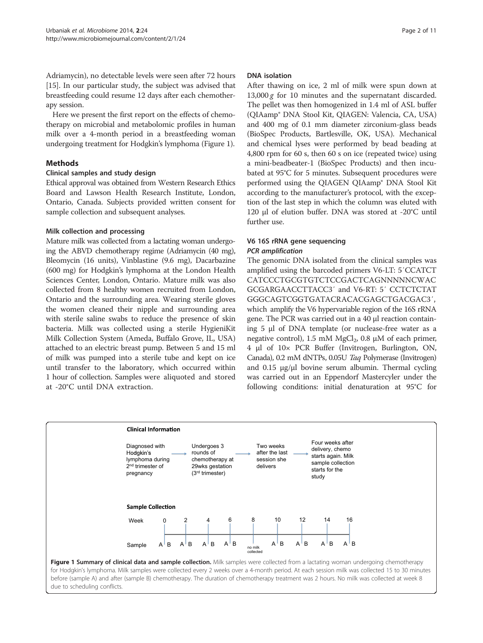<span id="page-1-0"></span>Adriamycin), no detectable levels were seen after 72 hours [[15](#page-9-0)]. In our particular study, the subject was advised that breastfeeding could resume 12 days after each chemotherapy session.

Here we present the first report on the effects of chemotherapy on microbial and metabolomic profiles in human milk over a 4-month period in a breastfeeding woman undergoing treatment for Hodgkin's lymphoma (Figure 1).

## **Methods**

## Clinical samples and study design

Ethical approval was obtained from Western Research Ethics Board and Lawson Health Research Institute, London, Ontario, Canada. Subjects provided written consent for sample collection and subsequent analyses.

## Milk collection and processing

Mature milk was collected from a lactating woman undergoing the ABVD chemotherapy regime (Adriamycin (40 mg), Bleomycin (16 units), Vinblastine (9.6 mg), Dacarbazine (600 mg) for Hodgkin's lymphoma at the London Health Sciences Center, London, Ontario. Mature milk was also collected from 8 healthy women recruited from London, Ontario and the surrounding area. Wearing sterile gloves the women cleaned their nipple and surrounding area with sterile saline swabs to reduce the presence of skin bacteria. Milk was collected using a sterile HygieniKit Milk Collection System (Ameda, Buffalo Grove, IL, USA) attached to an electric breast pump. Between 5 and 15 ml of milk was pumped into a sterile tube and kept on ice until transfer to the laboratory, which occurred within 1 hour of collection. Samples were aliquoted and stored at -20°C until DNA extraction.

#### DNA isolation

After thawing on ice, 2 ml of milk were spun down at  $13,000 g$  for 10 minutes and the supernatant discarded. The pellet was then homogenized in 1.4 ml of ASL buffer (QIAamp® DNA Stool Kit, QIAGEN: Valencia, CA, USA) and 400 mg of 0.1 mm diameter zirconium-glass beads (BioSpec Products, Bartlesville, OK, USA). Mechanical and chemical lyses were performed by bead beading at 4,800 rpm for 60 s, then 60 s on ice (repeated twice) using a mini-beadbeater-1 (BioSpec Products) and then incubated at 95°C for 5 minutes. Subsequent procedures were performed using the QIAGEN QIAamp® DNA Stool Kit according to the manufacturer's protocol, with the exception of the last step in which the column was eluted with 120 μl of elution buffer. DNA was stored at -20°C until further use.

## V6 16S rRNA gene sequencing PCR amplification

The genomic DNA isolated from the clinical samples was amplified using the barcoded primers V6-LT: 5′CCATCT CATCCCTGCGTGTCTCCGACTCAGNNNNNCWAC GCGARGAACCTTACC3′ and V6-RT: 5′ CCTCTCTAT GGGCAGTCGGTGATACRACACGAGCTGACGAC3′, which amplify the V6 hypervariable region of the 16S rRNA gene. The PCR was carried out in a 40 μl reaction containing 5 μl of DNA template (or nuclease-free water as a negative control), 1.5 mM MgCl<sub>2</sub>, 0.8  $\mu$ M of each primer, 4 μl of 10× PCR Buffer (Invitrogen, Burlington, ON, Canada), 0.2 mM dNTPs, 0.05U Taq Polymerase (Invitrogen) and 0.15 μg/μl bovine serum albumin. Thermal cycling was carried out in an Eppendorf Mastercyler under the following conditions: initial denaturation at 95°C for



due to scheduling conflicts.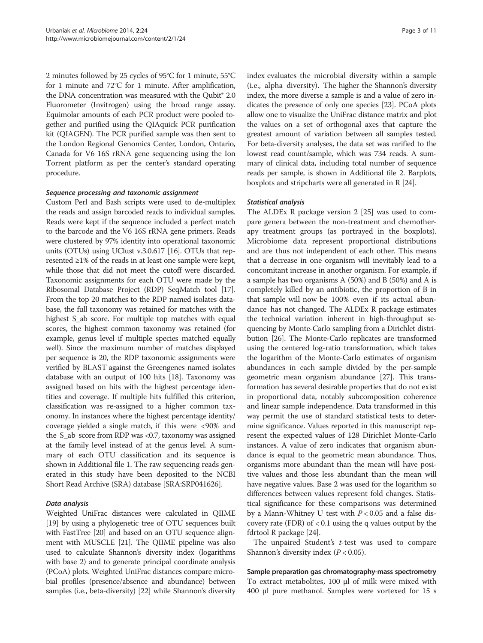2 minutes followed by 25 cycles of 95°C for 1 minute, 55°C for 1 minute and 72°C for 1 minute. After amplification, the DNA concentration was measured with the Qubit® 2.0 Fluorometer (Invitrogen) using the broad range assay. Equimolar amounts of each PCR product were pooled together and purified using the QIAquick PCR purification kit (QIAGEN). The PCR purified sample was then sent to the London Regional Genomics Center, London, Ontario, Canada for V6 16S rRNA gene sequencing using the Ion Torrent platform as per the center's standard operating procedure.

#### Sequence processing and taxonomic assignment

Custom Perl and Bash scripts were used to de-multiplex the reads and assign barcoded reads to individual samples. Reads were kept if the sequence included a perfect match to the barcode and the V6 16S rRNA gene primers. Reads were clustered by 97% identity into operational taxonomic units (OTUs) using UClust v.3.0.617 [[16](#page-9-0)]. OTUs that represented ≥1% of the reads in at least one sample were kept, while those that did not meet the cutoff were discarded. Taxonomic assignments for each OTU were made by the Ribosomal Database Project (RDP) SeqMatch tool [[17](#page-9-0)]. From the top 20 matches to the RDP named isolates database, the full taxonomy was retained for matches with the highest S\_ab score. For multiple top matches with equal scores, the highest common taxonomy was retained (for example, genus level if multiple species matched equally well). Since the maximum number of matches displayed per sequence is 20, the RDP taxonomic assignments were verified by BLAST against the Greengenes named isolates database with an output of 100 hits [\[18\]](#page-9-0). Taxonomy was assigned based on hits with the highest percentage identities and coverage. If multiple hits fulfilled this criterion, classification was re-assigned to a higher common taxonomy. In instances where the highest percentage identity/ coverage yielded a single match, if this were <90% and the S\_ab score from RDP was <0.7, taxonomy was assigned at the family level instead of at the genus level. A summary of each OTU classification and its sequence is shown in Additional file [1.](#page-8-0) The raw sequencing reads generated in this study have been deposited to the NCBI Short Read Archive (SRA) database [SRA:SRP041626].

## Data analysis

Weighted UniFrac distances were calculated in QIIME [[19](#page-9-0)] by using a phylogenetic tree of OTU sequences built with FastTree [\[20\]](#page-9-0) and based on an OTU sequence alignment with MUSCLE [\[21](#page-9-0)]. The QIIME pipeline was also used to calculate Shannon's diversity index (logarithms with base 2) and to generate principal coordinate analysis (PCoA) plots. Weighted UniFrac distances compare microbial profiles (presence/absence and abundance) between samples (i.e., beta-diversity) [\[22](#page-9-0)] while Shannon's diversity index evaluates the microbial diversity within a sample (i.e., alpha diversity). The higher the Shannon's diversity index, the more diverse a sample is and a value of zero indicates the presence of only one species [[23](#page-9-0)]. PCoA plots allow one to visualize the UniFrac distance matrix and plot the values on a set of orthogonal axes that capture the greatest amount of variation between all samples tested. For beta-diversity analyses, the data set was rarified to the lowest read count/sample, which was 734 reads. A summary of clinical data, including total number of sequence reads per sample, is shown in Additional file [2](#page-8-0). Barplots, boxplots and stripcharts were all generated in R [\[24\]](#page-9-0).

## Statistical analysis

The ALDEx R package version 2 [\[25\]](#page-9-0) was used to compare genera between the non-treatment and chemotherapy treatment groups (as portrayed in the boxplots). Microbiome data represent proportional distributions and are thus not independent of each other. This means that a decrease in one organism will inevitably lead to a concomitant increase in another organism. For example, if a sample has two organisms A (50%) and B (50%) and A is completely killed by an antibiotic, the proportion of B in that sample will now be 100% even if its actual abundance has not changed. The ALDEx R package estimates the technical variation inherent in high-throughput sequencing by Monte-Carlo sampling from a Dirichlet distribution [[26](#page-9-0)]. The Monte-Carlo replicates are transformed using the centered log-ratio transformation, which takes the logarithm of the Monte-Carlo estimates of organism abundances in each sample divided by the per-sample geometric mean organism abundance [[27](#page-9-0)]. This transformation has several desirable properties that do not exist in proportional data, notably subcomposition coherence and linear sample independence. Data transformed in this way permit the use of standard statistical tests to determine significance. Values reported in this manuscript represent the expected values of 128 Dirichlet Monte-Carlo instances. A value of zero indicates that organism abundance is equal to the geometric mean abundance. Thus, organisms more abundant than the mean will have positive values and those less abundant than the mean will have negative values. Base 2 was used for the logarithm so differences between values represent fold changes. Statistical significance for these comparisons was determined by a Mann-Whitney U test with  $P < 0.05$  and a false discovery rate (FDR) of  $< 0.1$  using the q values output by the fdrtool R package [[24](#page-9-0)].

The unpaired Student's  $t$ -test was used to compare Shannon's diversity index  $(P < 0.05)$ .

## Sample preparation gas chromatography-mass spectrometry

To extract metabolites, 100 μl of milk were mixed with 400 μl pure methanol. Samples were vortexed for 15 s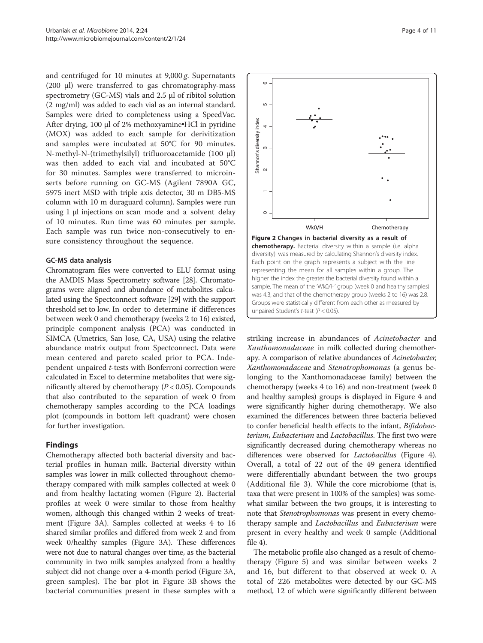and centrifuged for 10 minutes at 9,000 g. Supernatants (200 μl) were transferred to gas chromatography-mass spectrometry (GC-MS) vials and 2.5 μl of ribitol solution (2 mg/ml) was added to each vial as an internal standard. Samples were dried to completeness using a SpeedVac. After drying, 100 μl of 2% methoxyamine•HCl in pyridine (MOX) was added to each sample for derivitization and samples were incubated at 50°C for 90 minutes. N-methyl-N-(trimethylsilyl) trifluoroacetamide (100 μl) was then added to each vial and incubated at 50°C for 30 minutes. Samples were transferred to microinserts before running on GC-MS (Agilent 7890A GC, 5975 inert MSD with triple axis detector, 30 m DB5-MS column with 10 m duraguard column). Samples were run using 1 μl injections on scan mode and a solvent delay of 10 minutes. Run time was 60 minutes per sample. Each sample was run twice non-consecutively to ensure consistency throughout the sequence.

## GC-MS data analysis

Chromatogram files were converted to ELU format using the AMDIS Mass Spectrometry software [\[28\]](#page-9-0). Chromatograms were aligned and abundance of metabolites calculated using the Spectconnect software [\[29\]](#page-9-0) with the support threshold set to low. In order to determine if differences between week 0 and chemotherapy (weeks 2 to 16) existed, principle component analysis (PCA) was conducted in SIMCA (Umetrics, San Jose, CA, USA) using the relative abundance matrix output from Spectconnect. Data were mean centered and pareto scaled prior to PCA. Independent unpaired t-tests with Bonferroni correction were calculated in Excel to determine metabolites that were significantly altered by chemotherapy  $(P < 0.05)$ . Compounds that also contributed to the separation of week 0 from chemotherapy samples according to the PCA loadings plot (compounds in bottom left quadrant) were chosen for further investigation.

## Findings

Chemotherapy affected both bacterial diversity and bacterial profiles in human milk. Bacterial diversity within samples was lower in milk collected throughout chemotherapy compared with milk samples collected at week 0 and from healthy lactating women (Figure 2). Bacterial profiles at week 0 were similar to those from healthy women, although this changed within 2 weeks of treatment (Figure [3A](#page-5-0)). Samples collected at weeks 4 to 16 shared similar profiles and differed from week 2 and from week 0/healthy samples (Figure [3A](#page-5-0)). These differences were not due to natural changes over time, as the bacterial community in two milk samples analyzed from a healthy subject did not change over a 4-month period (Figure [3](#page-5-0)A, green samples). The bar plot in Figure [3B](#page-5-0) shows the bacterial communities present in these samples with a



striking increase in abundances of Acinetobacter and Xanthomonadaceae in milk collected during chemotherapy. A comparison of relative abundances of Acinetobacter, Xanthomonadaceae and Stenotrophomonas (a genus belonging to the Xanthomonadaceae family) between the chemotherapy (weeks 4 to 16) and non-treatment (week 0 and healthy samples) groups is displayed in Figure [4](#page-5-0) and were significantly higher during chemotherapy. We also examined the differences between three bacteria believed to confer beneficial health effects to the infant, *Bifidobac*terium, Eubacterium and Lactobacillus. The first two were significantly decreased during chemotherapy whereas no differences were observed for Lactobacillus (Figure [4](#page-5-0)). Overall, a total of 22 out of the 49 genera identified were differentially abundant between the two groups (Additional file [3\)](#page-8-0). While the core microbiome (that is, taxa that were present in 100% of the samples) was somewhat similar between the two groups, it is interesting to note that Stenotrophomonas was present in every chemotherapy sample and *Lactobacillus* and *Eubacterium* were present in every healthy and week 0 sample (Additional file [4](#page-8-0)).

The metabolic profile also changed as a result of chemotherapy (Figure [5](#page-6-0)) and was similar between weeks 2 and 16, but different to that observed at week 0. A total of 226 metabolites were detected by our GC-MS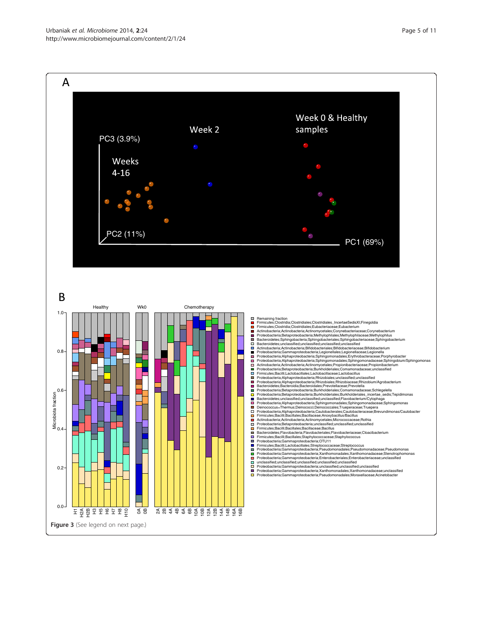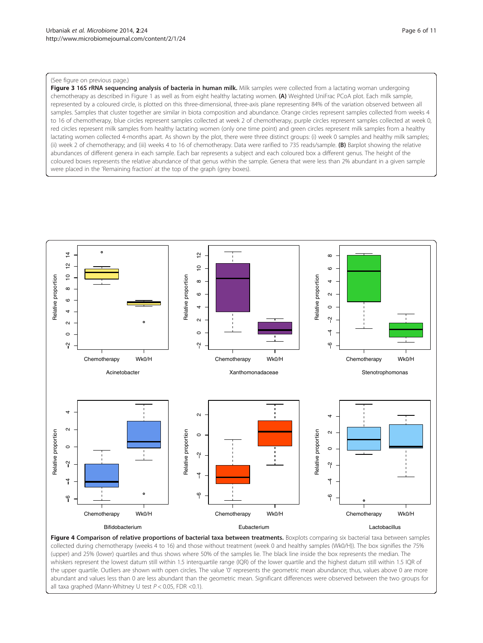#### <span id="page-5-0"></span>(See figure on previous page.)

Figure 3 16S rRNA sequencing analysis of bacteria in human milk. Milk samples were collected from a lactating woman undergoing chemotherapy as described in Figure [1](#page-1-0) as well as from eight healthy lactating women. (A) Weighted UniFrac PCoA plot. Each milk sample, represented by a coloured circle, is plotted on this three-dimensional, three-axis plane representing 84% of the variation observed between all samples. Samples that cluster together are similar in biota composition and abundance. Orange circles represent samples collected from weeks 4 to 16 of chemotherapy, blue circles represent samples collected at week 2 of chemotherapy, purple circles represent samples collected at week 0, red circles represent milk samples from healthy lactating women (only one time point) and green circles represent milk samples from a healthy lactating women collected 4-months apart. As shown by the plot, there were three distinct groups: (i) week 0 samples and healthy milk samples; (ii) week 2 of chemotherapy; and (iii) weeks 4 to 16 of chemotherapy. Data were rarified to 735 reads/sample. (B) Barplot showing the relative abundances of different genera in each sample. Each bar represents a subject and each coloured box a different genus. The height of the coloured boxes represents the relative abundance of that genus within the sample. Genera that were less than 2% abundant in a given sample were placed in the 'Remaining fraction' at the top of the graph (grey boxes).



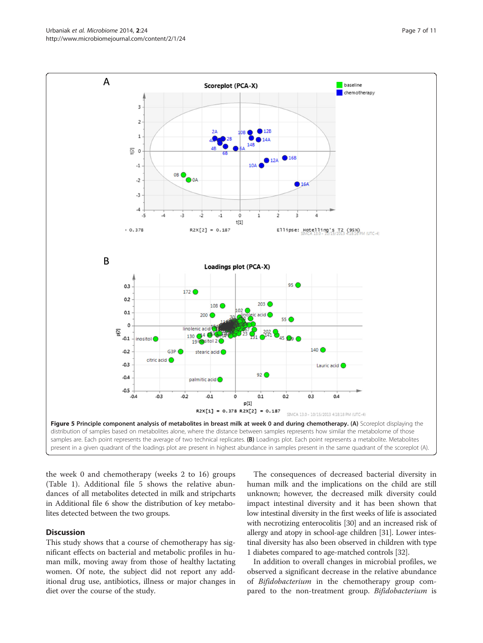the week 0 and chemotherapy (weeks 2 to 16) groups (Table [1\)](#page-7-0). Additional file [5](#page-8-0) shows the relative abundances of all metabolites detected in milk and stripcharts in Additional file [6](#page-8-0) show the distribution of key metabolites detected between the two groups.

#### **Discussion**

This study shows that a course of chemotherapy has significant effects on bacterial and metabolic profiles in human milk, moving away from those of healthy lactating women. Of note, the subject did not report any additional drug use, antibiotics, illness or major changes in diet over the course of the study.

The consequences of decreased bacterial diversity in human milk and the implications on the child are still unknown; however, the decreased milk diversity could impact intestinal diversity and it has been shown that low intestinal diversity in the first weeks of life is associated with necrotizing enterocolitis [\[30\]](#page-9-0) and an increased risk of allergy and atopy in school-age children [[31](#page-9-0)]. Lower intestinal diversity has also been observed in children with type 1 diabetes compared to age-matched controls [[32](#page-9-0)].

In addition to overall changes in microbial profiles, we observed a significant decrease in the relative abundance of Bifidobacterium in the chemotherapy group compared to the non-treatment group. Bifidobacterium is

<span id="page-6-0"></span>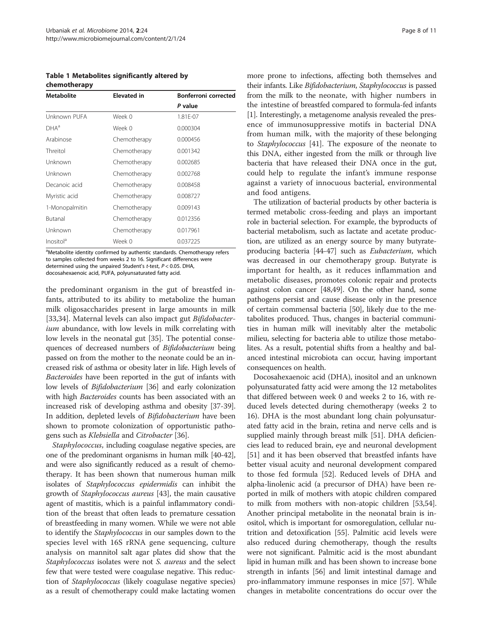<span id="page-7-0"></span>Table 1 Metabolites significantly altered by chemotherapy

| <b>Metabolite</b>     | <b>Elevated in</b> | <b>Bonferroni corrected</b><br>P value |
|-----------------------|--------------------|----------------------------------------|
|                       |                    |                                        |
| $DHA^a$               | Week 0             | 0.000304                               |
| Arabinose             | Chemotherapy       | 0.000456                               |
| Threitol              | Chemotherapy       | 0.001342                               |
| Unknown               | Chemotherapy       | 0.002685                               |
| Unknown               | Chemotherapy       | 0.002768                               |
| Decanoic acid         | Chemotherapy       | 0.008458                               |
| Myristic acid         | Chemotherapy       | 0.008727                               |
| 1-Monopalmitin        | Chemotherapy       | 0.009143                               |
| <b>Butanal</b>        | Chemotherapy       | 0.012356                               |
| Unknown               | Chemotherapy       | 0.017961                               |
| Inositol <sup>a</sup> | Week 0             | 0.037225                               |

<sup>a</sup>Metabolite identity confirmed by authentic standards. Chemotherapy refers to samples collected from weeks 2 to 16. Significant differences were determined using the unpaired Student's t-test, P < 0.05. DHA, docosahexaenoic acid, PUFA, polyunsaturated fatty acid.

the predominant organism in the gut of breastfed infants, attributed to its ability to metabolize the human milk oligosaccharides present in large amounts in milk [[33,34\]](#page-9-0). Maternal levels can also impact gut Bifidobacterium abundance, with low levels in milk correlating with low levels in the neonatal gut [\[35](#page-9-0)]. The potential consequences of decreased numbers of Bifidobacterium being passed on from the mother to the neonate could be an increased risk of asthma or obesity later in life. High levels of Bacteroides have been reported in the gut of infants with low levels of Bifidobacterium [\[36\]](#page-9-0) and early colonization with high Bacteroides counts has been associated with an increased risk of developing asthma and obesity [[37](#page-9-0)-[39](#page-9-0)]. In addition, depleted levels of Bifidobacterium have been shown to promote colonization of opportunistic pathogens such as Klebsiella and Citrobacter [\[36\]](#page-9-0).

Staphylococcus, including coagulase negative species, are one of the predominant organisms in human milk [\[40-42](#page-9-0)], and were also significantly reduced as a result of chemotherapy. It has been shown that numerous human milk isolates of Staphylococcus epidermidis can inhibit the growth of Staphylococcus aureus [\[43\]](#page-9-0), the main causative agent of mastitis, which is a painful inflammatory condition of the breast that often leads to premature cessation of breastfeeding in many women. While we were not able to identify the Staphylococcus in our samples down to the species level with 16S rRNA gene sequencing, culture analysis on mannitol salt agar plates did show that the Staphylococcus isolates were not S. aureus and the select few that were tested were coagulase negative. This reduction of Staphylococcus (likely coagulase negative species) as a result of chemotherapy could make lactating women more prone to infections, affecting both themselves and their infants. Like Bifidobacterium, Staphylococcus is passed from the milk to the neonate, with higher numbers in the intestine of breastfed compared to formula-fed infants [[1\]](#page-8-0). Interestingly, a metagenome analysis revealed the presence of immunosuppressive motifs in bacterial DNA from human milk, with the majority of these belonging to Staphylococcus [\[41](#page-9-0)]. The exposure of the neonate to this DNA, either ingested from the milk or through live bacteria that have released their DNA once in the gut, could help to regulate the infant's immune response against a variety of innocuous bacterial, environmental and food antigens.

The utilization of bacterial products by other bacteria is termed metabolic cross-feeding and plays an important role in bacterial selection. For example, the byproducts of bacterial metabolism, such as lactate and acetate production, are utilized as an energy source by many butyrateproducing bacteria [[44](#page-9-0)-[47](#page-9-0)] such as Eubacterium, which was decreased in our chemotherapy group. Butyrate is important for health, as it reduces inflammation and metabolic diseases, promotes colonic repair and protects against colon cancer [\[48,49\]](#page-9-0). On the other hand, some pathogens persist and cause disease only in the presence of certain commensal bacteria [\[50\]](#page-10-0), likely due to the metabolites produced. Thus, changes in bacterial communities in human milk will inevitably alter the metabolic milieu, selecting for bacteria able to utilize those metabolites. As a result, potential shifts from a healthy and balanced intestinal microbiota can occur, having important consequences on health.

Docosahexaenoic acid (DHA), inositol and an unknown polyunsaturated fatty acid were among the 12 metabolites that differed between week 0 and weeks 2 to 16, with reduced levels detected during chemotherapy (weeks 2 to 16). DHA is the most abundant long chain polyunsaturated fatty acid in the brain, retina and nerve cells and is supplied mainly through breast milk [\[51\]](#page-10-0). DHA deficiencies lead to reduced brain, eye and neuronal development [[51](#page-10-0)] and it has been observed that breastfed infants have better visual acuity and neuronal development compared to those fed formula [[52](#page-10-0)]. Reduced levels of DHA and alpha-linolenic acid (a precursor of DHA) have been reported in milk of mothers with atopic children compared to milk from mothers with non-atopic children [\[53,54](#page-10-0)]. Another principal metabolite in the neonatal brain is inositol, which is important for osmoregulation, cellular nutrition and detoxification [[55](#page-10-0)]. Palmitic acid levels were also reduced during chemotherapy, though the results were not significant. Palmitic acid is the most abundant lipid in human milk and has been shown to increase bone strength in infants [[56](#page-10-0)] and limit intestinal damage and pro-inflammatory immune responses in mice [[57\]](#page-10-0). While changes in metabolite concentrations do occur over the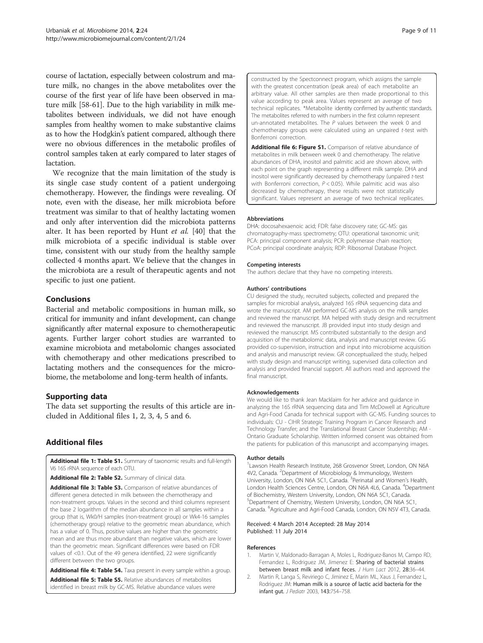<span id="page-8-0"></span>course of lactation, especially between colostrum and mature milk, no changes in the above metabolites over the course of the first year of life have been observed in mature milk [[58](#page-10-0)-[61](#page-10-0)]. Due to the high variability in milk metabolites between individuals, we did not have enough samples from healthy women to make substantive claims as to how the Hodgkin's patient compared, although there were no obvious differences in the metabolic profiles of control samples taken at early compared to later stages of lactation.

We recognize that the main limitation of the study is its single case study content of a patient undergoing chemotherapy. However, the findings were revealing. Of note, even with the disease, her milk microbiota before treatment was similar to that of healthy lactating women and only after intervention did the microbiota patterns alter. It has been reported by Hunt et al. [\[40](#page-9-0)] that the milk microbiota of a specific individual is stable over time, consistent with our study from the healthy sample collected 4 months apart. We believe that the changes in the microbiota are a result of therapeutic agents and not specific to just one patient.

## Conclusions

Bacterial and metabolic compositions in human milk, so critical for immunity and infant development, can change significantly after maternal exposure to chemotherapeutic agents. Further larger cohort studies are warranted to examine microbiota and metabolomic changes associated with chemotherapy and other medications prescribed to lactating mothers and the consequences for the microbiome, the metabolome and long-term health of infants.

## Supporting data

The data set supporting the results of this article are included in Additional files 1, 2, 3, 4, 5 and 6.

## Additional files

[Additional file 1: Table S1.](http://www.biomedcentral.com/content/supplementary/2049-2618-2-24-S1.xlsx) Summary of taxonomic results and full-length V6 16S rRNA sequence of each OTU.

[Additional file 2: Table S2.](http://www.biomedcentral.com/content/supplementary/2049-2618-2-24-S2.xlsx) Summary of clinical data.

[Additional file 3: Table S3.](http://www.biomedcentral.com/content/supplementary/2049-2618-2-24-S3.doc) Comparison of relative abundances of different genera detected in milk between the chemotherapy and non-treatment groups. Values in the second and third columns represent the base 2 logarithm of the median abundance in all samples within a group (that is, Wk0/H samples (non-treatment group) or Wk4-16 samples (chemotherapy group) relative to the geometric mean abundance, which has a value of 0. Thus, positive values are higher than the geometric mean and are thus more abundant than negative values, which are lower than the geometric mean. Significant differences were based on FDR values of <0.1. Out of the 49 genera identified, 22 were significantly different between the two groups.

[Additional file 4: Table S4.](http://www.biomedcentral.com/content/supplementary/2049-2618-2-24-S4.xlsx) Taxa present in every sample within a group.

[Additional file 5: Table S5.](http://www.biomedcentral.com/content/supplementary/2049-2618-2-24-S5.xlsx) Relative abundances of metabolites identified in breast milk by GC-MS. Relative abundance values were constructed by the Spectconnect program, which assigns the sample with the greatest concentration (peak area) of each metabolite an arbitrary value. All other samples are then made proportional to this value according to peak area. Values represent an average of two technical replicates. \*Metabolite identity confirmed by authentic standards. The metabolites referred to with numbers in the first column represent un-annotated metabolites. The P values between the week 0 and chemotherapy groups were calculated using an unpaired t-test with Bonferroni correction.

[Additional file 6: Figure S1.](http://www.biomedcentral.com/content/supplementary/2049-2618-2-24-S6.pdf) Comparison of relative abundance of metabolites in milk between week 0 and chemotherapy. The relative abundances of DHA, inositol and palmitic acid are shown above, with each point on the graph representing a different milk sample. DHA and inositol were significantly decreased by chemotherapy (unpaired t-test with Bonferroni correction,  $P < 0.05$ ). While palmitic acid was also decreased by chemotherapy, these results were not statistically significant. Values represent an average of two technical replicates.

#### Abbreviations

DHA: docosahexaenoic acid; FDR: false discovery rate; GC-MS: gas chromatography-mass spectrometry; OTU: operational taxonomic unit; PCA: principal component analysis; PCR: polymerase chain reaction; PCoA: principal coordinate analysis; RDP: Ribosomal Database Project.

#### Competing interests

The authors declare that they have no competing interests.

#### Authors' contributions

CU designed the study, recruited subjects, collected and prepared the samples for microbial analysis, analyzed 16S rRNA sequencing data and wrote the manuscript. AM performed GC-MS analysis on the milk samples and reviewed the manuscript. MA helped with study design and recruitment and reviewed the manuscript. JB provided input into study design and reviewed the manuscript. MS contributed substantially to the design and acquisition of the metabolomic data, analysis and manuscript review. GG provided co-supervision, instruction and input into microbiome acquisition and analysis and manuscript review. GR conceptualized the study, helped with study design and manuscript writing, supervised data collection and analysis and provided financial support. All authors read and approved the final manuscript.

#### Acknowledgements

We would like to thank Jean Macklaim for her advice and guidance in analyzing the 16S rRNA sequencing data and Tim McDowell at Agriculture and Agri-Food Canada for technical support with GC-MS. Funding sources to individuals: CU - CIHR Strategic Training Program in Cancer Research and Technology Transfer; and the Translational Breast Cancer Studentship; AM - Ontario Graduate Scholarship. Written informed consent was obtained from the patients for publication of this manuscript and accompanying images.

#### Author details

<sup>1</sup> Lawson Health Research Institute, 268 Grosvenor Street, London, ON N6A 4V2, Canada. <sup>2</sup>Department of Microbiology & Immunology, Western University, London, ON N6A 5C1, Canada. <sup>3</sup>Perinatal and Women's Health London Health Sciences Centre, London, ON N6A 4L6, Canada. <sup>4</sup>Department of Biochemistry, Western University, London, ON N6A 5C1, Canada. 5 Department of Chemistry, Western University, London, ON N6A 5C1, Canada. <sup>6</sup> Agriculture and Agri-Food Canada, London, ON N5V 4T3, Canada.

#### Received: 4 March 2014 Accepted: 28 May 2014 Published: 11 July 2014

#### References

- 1. Martin V, Maldonado-Barragan A, Moles L, Rodriguez-Banos M, Campo RD, Fernandez L, Rodriguez JM, Jimenez E: Sharing of bacterial strains between breast milk and infant feces. J Hum Lact 2012, 28:36–44.
- 2. Martin R, Langa S, Reviriego C, Jiminez E, Marin ML, Xaus J, Fernandez L, Rodriguez JM: Human milk is a source of lactic acid bacteria for the infant gut. J Pediatr 2003, 143:754–758.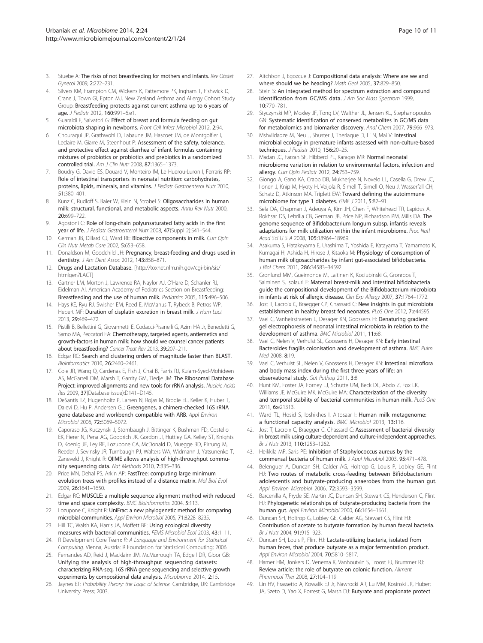- <span id="page-9-0"></span>3. Stuebe A: The risks of not breastfeeding for mothers and infants. Rev Obstet Gynecol 2009, 2:222–231.
- 4. Silvers KM, Frampton CM, Wickens K, Pattemore PK, Ingham T, Fishwick D, Crane J, Town GI, Epton MJ, New Zealand Asthma and Allergy Cohort Study Group: Breastfeeding protects against current asthma up to 6 years of age. J Pediatr 2012, 160:991–6.e1.
- 5. Guaraldi F, Salvatori G: Effect of breast and formula feeding on gut microbiota shaping in newborns. Front Cell Infect Microbiol 2012, 2:94.
- 6. Chouraqui JP, Grathwohl D, Labaune JM, Hascoet JM, de Montgolfier I, Leclaire M, Giarre M, Steenhout P: Assessment of the safety, tolerance, and protective effect against diarrhea of infant formulas containing mixtures of probiotics or probiotics and prebiotics in a randomized controlled trial. Am J Clin Nutr 2008, 87:1365–1373.
- 7. Boudry G, David ES, Douard V, Monteiro IM, Le Huerou-Luron I, Ferraris RP: Role of intestinal transporters in neonatal nutrition: carbohydrates, proteins, lipids, minerals, and vitamins. J Pediatr Gastroenterol Nutr 2010, 51:380–401.
- Kunz C, Rudloff S, Baier W, Klein N, Strobel S: Oligosaccharides in human milk: structural, functional, and metabolic aspects. Annu Rev Nutr 2000, 20:699–722.
- 9. Agostoni C: Role of long-chain polyunsaturated fatty acids in the first year of life. J Pediatr Gastroenterol Nutr 2008, 47(Suppl 2):S41-S44.
- 10. German JB, Dillard CJ, Ward RE: Bioactive components in milk. Curr Opin Clin Nutr Metab Care 2002, 5:653–658.
- 11. Donaldson M, Goodchild JH: Pregnancy, breast-feeding and drugs used in dentistry. J Am Dent Assoc 2012, 143:858–871.
- 12. Drugs and Lactation Database. [\[http://toxnet.nlm.nih.gov/cgi-bin/sis/](http://toxnet.nlm.nih.gov/cgi-bin/sis/htmlgen?LACT) [htmlgen?LACT](http://toxnet.nlm.nih.gov/cgi-bin/sis/htmlgen?LACT)]
- 13. Gartner LM, Morton J, Lawrence RA, Naylor AJ, O'Hare D, Schanler RJ, Eidelman AI, American Academy of Pediatrics Section on Breastfeeding: Breastfeeding and the use of human milk. Pediatrics 2005, 115:496–506.
- 14. Hays KE, Ryu RJ, Swisher EM, Reed E, McManus T, Rybeck B, Petros WP, Hebert MF: Duration of cisplatin excretion in breast milk. J Hum Lact 2013, 29:469–472.
- 15. Pistilli B, Bellettini G, Giovannetti E, Codacci-Pisanelli G, Azim HA Jr, Benedetti G, Sarno MA, Peccatori FA: Chemotherapy, targeted agents, antiemetics and growth-factors in human milk: how should we counsel cancer patients about breastfeeding? Cancer Treat Rev 2013, 39:207–211.
- 16. Edgar RC: Search and clustering orders of magnitude faster than BLAST. Bioinformatics 2010, 26:2460–2461.
- 17. Cole JR, Wang Q, Cardenas E, Fish J, Chai B, Farris RJ, Kulam-Syed-Mohideen AS, McGarrell DM, Marsh T, Garrity GM, Tiedje JM: The Ribosomal Database Project: improved alignments and new tools for rRNA analysis. Nucleic Acids Res 2009, 37(Database issue):D141–D145.
- 18. DeSantis TZ, Hugenholtz P, Larsen N, Rojas M, Brodie EL, Keller K, Huber T, Dalevi D, Hu P, Andersen GL: Greengenes, a chimera-checked 16S rRNA gene database and workbench compatible with ARB. Appl Environ Microbiol 2006, 72:5069–5072.
- 19. Caporaso JG, Kuczynski J, Stombaugh J, Bittinger K, Bushman FD, Costello EK, Fierer N, Pena AG, Goodrich JK, Gordon JI, Huttley GA, Kelley ST, Knights D, Koenig JE, Ley RE, Lozupone CA, McDonald D, Muegge BD, Pirrung M, Reeder J, Sevinsky JR, Turnbaugh PJ, Walters WA, Widmann J, Yatsunenko T, Zaneveld J, Knight R: QIIME allows analysis of high-throughput community sequencing data. Nat Methods 2010, 7:335–336.
- 20. Price MN, Dehal PS, Arkin AP: FastTree: computing large minimum evolution trees with profiles instead of a distance matrix. Mol Biol Evol 2009, 26:1641–1650.
- 21. Edgar RC: MUSCLE: a multiple sequence alignment method with reduced time and space complexity. BMC Bioinformatics 2004, 5:113.
- 22. Lozupone C, Knight R: UniFrac: a new phylogenetic method for comparing microbial communities. Appl Environ Microbiol 2005, 71:8228–8235.
- 23. Hill TC, Walsh KA, Harris JA, Moffett BF: Using ecological diversity measures with bacterial communities. FEMS Microbiol Ecol 2003, 43:1–11.
- 24. R Development Core Team: R: A Language and Environment for Statistical Computing. Vienna, Austria: R Foundation for Statistical Computing; 2006.
- 25. Fernandes AD, Reid J, Macklaim JM, McMurrough TA, Edgell DR, Gloor GB: Unifying the analysis of high-throughput sequencing datasets: characterizing RNA-seq, 16S rRNA gene sequencing and selective growth experiments by compositional data analysis. Microbiome 2014, 2:15.
- 26. Jaynes ET: Probability Theory: the Logic of Science. Cambridge, UK: Cambridge University Press; 2003.
- 27. Aitchison J, Egozcue J: Compositional data analysis: Where are we and where should we be heading? Math Geol 2005, 37:829–850.
- 28. Stein S: An integrated method for spectrum extraction and compound identification from GC/MS data. J Am Soc Mass Spectrom 1999, 10:770–781.
- 29. Styczynski MP, Moxley JF, Tong LV, Walther JL, Jensen KL, Stephanopoulos GN: Systematic identification of conserved metabolites in GC/MS data for metabolomics and biomarker discovery. Anal Chem 2007, 79:966–973.
- 30. Mshvildadze M, Neu J, Shuster J, Theriaque D, Li N, Mai V: Intestinal microbial ecology in premature infants assessed with non-culture-based techniques. J Pediatr 2010, 156:20–25.
- 31. Madan JC, Farzan SF, Hibberd PL, Karagas MR: Normal neonatal microbiome variation in relation to environmental factors, infection and allergy. Curr Opin Pediatr 2012, 24:753-759.
- 32. Giongo A, Gano KA, Crabb DB, Mukherjee N, Novelo LL, Casella G, Drew JC, Ilonen J, Knip M, Hyoty H, Veijola R, Simell T, Simell O, Neu J, Wasserfall CH, Schatz D, Atkinson MA, Triplett EW: Toward defining the autoimmune microbiome for type 1 diabetes. ISME J 2011, 5:82-91.
- 33. Sela DA, Chapman J, Adeuya A, Kim JH, Chen F, Whitehead TR, Lapidus A, Rokhsar DS, Lebrilla CB, German JB, Price NP, Richardson PM, Mills DA: The genome sequence of Bifidobacterium longum subsp. infantis reveals adaptations for milk utilization within the infant microbiome. Proc Natl Acad Sci U S A 2008, 105:18964–18969.
- 34. Asakuma S, Hatakeyama E, Urashima T, Yoshida E, Katayama T, Yamamoto K, Kumagai H, Ashida H, Hirose J, Kitaoka M: Physiology of consumption of human milk oligosaccharides by infant gut-associated bifidobacteria. J Biol Chem 2011, 286:34583–34592.
- 35. Gronlund MM, Gueimonde M, Laitinen K, Kociubinski G, Gronroos T, Salminen S, Isolauri E: Maternal breast-milk and intestinal bifidobacteria guide the compositional development of the Bifidobacterium microbiota in infants at risk of allergic disease. Clin Exp Allergy 2007, 37:1764-1772.
- 36. Jost T, Lacroix C, Braegger CP, Chassard C: New insights in gut microbiota establishment in healthy breast fed neonates. PLoS One 2012, 7:e44595.
- 37. Vael C, Vanheirstraeten L, Desager KN, Goossens H: Denaturing gradient gel electrophoresis of neonatal intestinal microbiota in relation to the development of asthma. BMC Microbiol 2011, 11:68.
- 38. Vael C, Nelen V, Verhulst SL, Goossens H, Desager KN: Early intestinal Bacteroides fragilis colonisation and development of asthma. BMC Pulm Med 2008, 8:19.
- 39. Vael C, Verhulst SL, Nelen V, Goossens H, Desager KN: Intestinal microflora and body mass index during the first three years of life: an observational study. Gut Pathog 2011, 3:8.
- 40. Hunt KM, Foster JA, Forney LJ, Schutte UM, Beck DL, Abdo Z, Fox LK, Williams JE, McGuire MK, McGuire MA: Characterization of the diversity and temporal stability of bacterial communities in human milk. PLoS One 2011, 6:e21313.
- 41. Ward TL, Hosid S, Ioshikhes I, Altosaar I: Human milk metagenome: a functional capacity analysis. BMC Microbiol 2013, 13:116.
- 42. Jost T, Lacroix C, Braegger C, Chassard C: Assessment of bacterial diversity in breast milk using culture-dependent and culture-independent approaches. Br J Nutr 2013, 110:1253–1262.
- 43. Heikkila MP, Saris PE: Inhibition of Staphylococcus aureus by the commensal bacteria of human milk. J Appl Microbiol 2003, 95:471–478.
- 44. Belenguer A, Duncan SH, Calder AG, Holtrop G, Louis P, Lobley GE, Flint HJ: Two routes of metabolic cross-feeding between Bifidobacterium adolescentis and butyrate-producing anaerobes from the human gut. Appl Environ Microbiol 2006, 72:3593-3599.
- 45. Barcenilla A, Pryde SE, Martin JC, Duncan SH, Stewart CS, Henderson C, Flint HJ: Phylogenetic relationships of butyrate-producing bacteria from the human gut. Appl Environ Microbiol 2000, 66:1654–1661.
- 46. Duncan SH, Holtrop G, Lobley GE, Calder AG, Stewart CS, Flint HJ: Contribution of acetate to butyrate formation by human faecal bacteria. Br J Nutr 2004, 91:915–923.
- 47. Duncan SH, Louis P, Flint HJ: Lactate-utilizing bacteria, isolated from human feces, that produce butyrate as a major fermentation product. Appl Environ Microbiol 2004, 70:5810-5817.
- 48. Hamer HM, Jonkers D, Venema K, Vanhoutvin S, Troost FJ, Brummer RJ: Review article: the role of butyrate on colonic function. Aliment Pharmacol Ther 2008, 27:104–119.
- 49. Lin HV, Frassetto A, Kowalik EJ Jr, Nawrocki AR, Lu MM, Kosinski JR, Hubert JA, Szeto D, Yao X, Forrest G, Marsh DJ: Butyrate and propionate protect